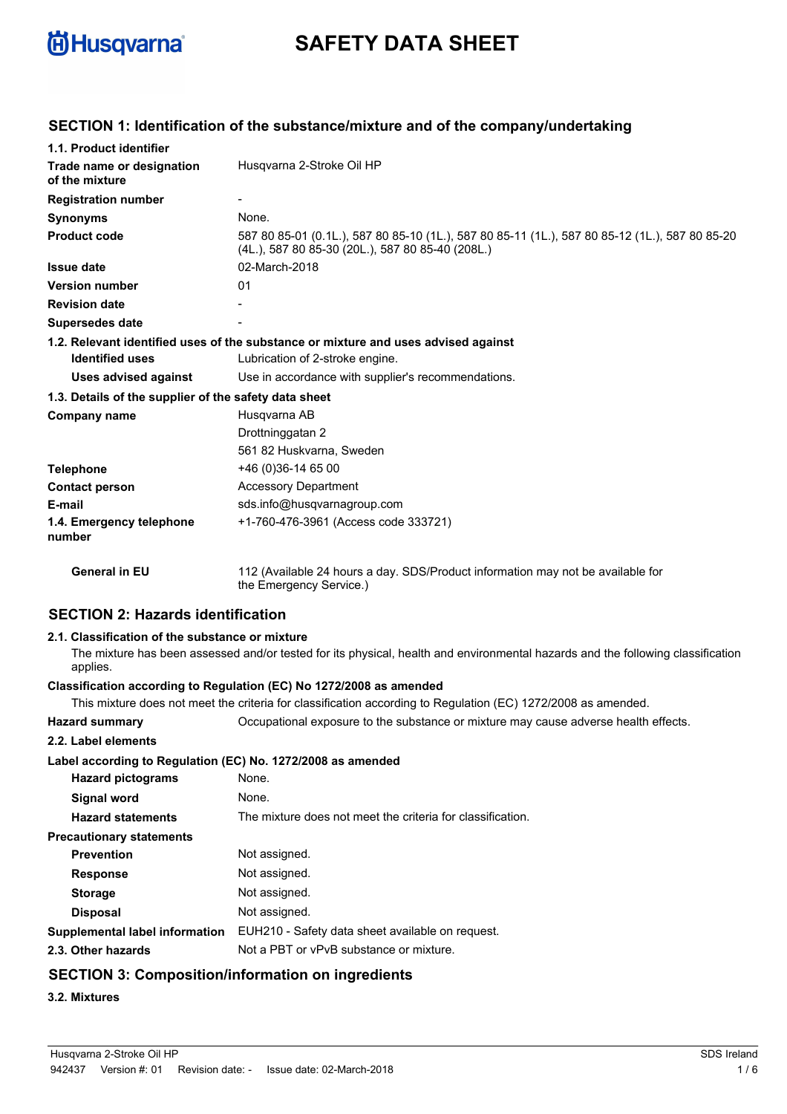

# **SAFETY DATA SHEET**

| 1.1. Product identifier                               |                                                                                                                                                    |
|-------------------------------------------------------|----------------------------------------------------------------------------------------------------------------------------------------------------|
| Trade name or designation<br>of the mixture           | Husqvarna 2-Stroke Oil HP                                                                                                                          |
| <b>Registration number</b>                            |                                                                                                                                                    |
| <b>Synonyms</b>                                       | None.                                                                                                                                              |
| <b>Product code</b>                                   | 587 80 85-01 (0.1L.), 587 80 85-10 (1L.), 587 80 85-11 (1L.), 587 80 85-12 (1L.), 587 80 85-20<br>(4L.), 587 80 85-30 (20L.), 587 80 85-40 (208L.) |
| <b>Issue date</b>                                     | 02-March-2018                                                                                                                                      |
| <b>Version number</b>                                 | 01                                                                                                                                                 |
| <b>Revision date</b>                                  |                                                                                                                                                    |
| <b>Supersedes date</b>                                |                                                                                                                                                    |
| <b>Identified uses</b>                                | 1.2. Relevant identified uses of the substance or mixture and uses advised against<br>Lubrication of 2-stroke engine.                              |
| Uses advised against                                  | Use in accordance with supplier's recommendations.                                                                                                 |
| 1.3. Details of the supplier of the safety data sheet |                                                                                                                                                    |
| Company name                                          | Husgvarna AB                                                                                                                                       |
|                                                       | Drottninggatan 2                                                                                                                                   |
|                                                       | 561 82 Huskvarna, Sweden                                                                                                                           |
| <b>Telephone</b>                                      | +46 (0)36-14 65 00                                                                                                                                 |
| <b>Contact person</b>                                 | <b>Accessory Department</b>                                                                                                                        |
| E-mail                                                | sds.info@husqvarnagroup.com                                                                                                                        |
| 1.4. Emergency telephone<br>number                    | +1-760-476-3961 (Access code 333721)                                                                                                               |
| <b>General in EU</b>                                  | 112 (Available 24 hours a day. SDS/Product information may not be available for<br>the Emergency Service.)                                         |
|                                                       |                                                                                                                                                    |

### **SECTION 1: Identification of the substance/mixture and of the company/undertaking**

# **SECTION 2: Hazards identification**

### **2.1. Classification of the substance or mixture**

The mixture has been assessed and/or tested for its physical, health and environmental hazards and the following classification applies.

### **Classification according to Regulation (EC) No 1272/2008 as amended**

This mixture does not meet the criteria for classification according to Regulation (EC) 1272/2008 as amended.

**Hazard summary** Occupational exposure to the substance or mixture may cause adverse health effects.

| 2.2. Label elements                                         |                                                            |
|-------------------------------------------------------------|------------------------------------------------------------|
| Label according to Regulation (EC) No. 1272/2008 as amended |                                                            |
| <b>Hazard pictograms</b>                                    | None.                                                      |
| Signal word                                                 | None.                                                      |
| <b>Hazard statements</b>                                    | The mixture does not meet the criteria for classification. |
| <b>Precautionary statements</b>                             |                                                            |
| <b>Prevention</b>                                           | Not assigned.                                              |
| <b>Response</b>                                             | Not assigned.                                              |
| <b>Storage</b>                                              | Not assigned.                                              |
| <b>Disposal</b>                                             | Not assigned.                                              |
| Supplemental label information                              | EUH210 - Safety data sheet available on request.           |
| 2.3. Other hazards                                          | Not a PBT or vPvB substance or mixture.                    |
| <b>SECTION 3: Composition/information on ingredients</b>    |                                                            |

### **3.2. Mixtures**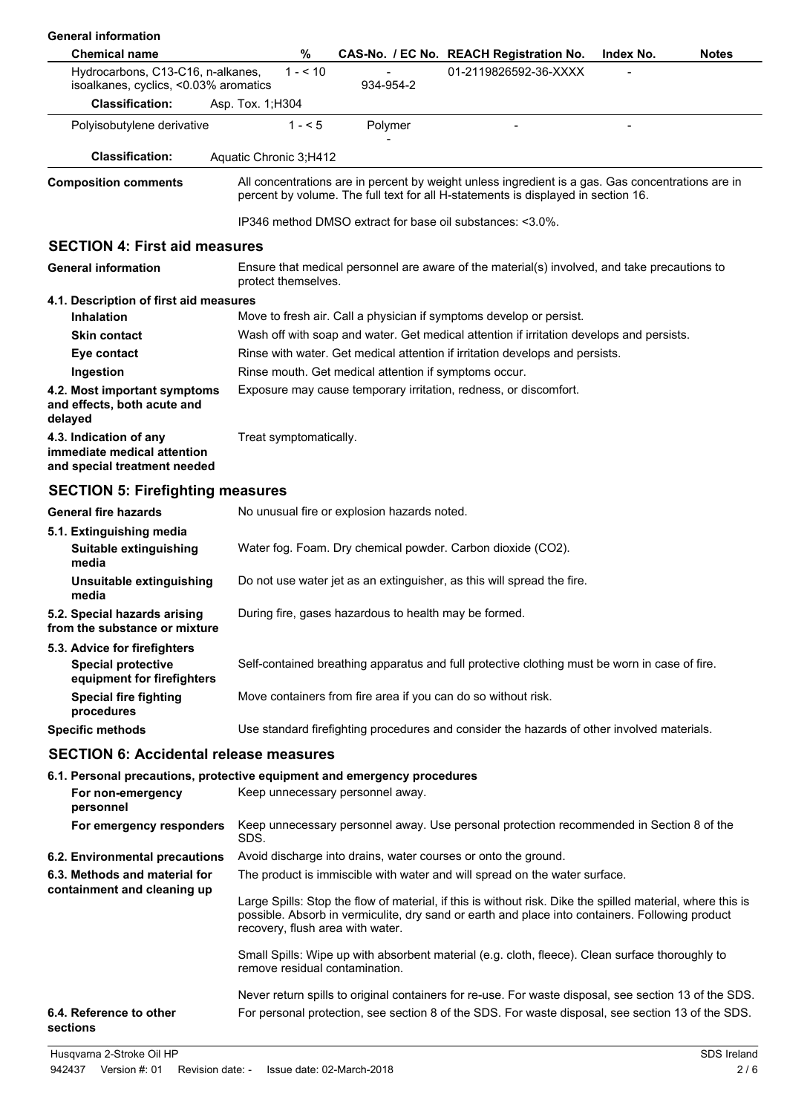| <b>General information</b>                                                                                 |                                  |                                                       |                                                                                                                                                                                                               |                           |             |
|------------------------------------------------------------------------------------------------------------|----------------------------------|-------------------------------------------------------|---------------------------------------------------------------------------------------------------------------------------------------------------------------------------------------------------------------|---------------------------|-------------|
| <b>Chemical name</b>                                                                                       | %                                |                                                       | CAS-No. / EC No. REACH Registration No.                                                                                                                                                                       | <b>Notes</b><br>Index No. |             |
| Hydrocarbons, C13-C16, n-alkanes,<br>isoalkanes, cyclics, <0.03% aromatics                                 | $1 - 10$                         | 934-954-2                                             | 01-2119826592-36-XXXX                                                                                                                                                                                         |                           |             |
| <b>Classification:</b>                                                                                     | Asp. Tox. 1; H304                |                                                       |                                                                                                                                                                                                               |                           |             |
| Polyisobutylene derivative                                                                                 | $1 - 5$                          | Polymer                                               |                                                                                                                                                                                                               |                           |             |
| <b>Classification:</b>                                                                                     | Aquatic Chronic 3;H412           |                                                       |                                                                                                                                                                                                               |                           |             |
| <b>Composition comments</b>                                                                                |                                  |                                                       | All concentrations are in percent by weight unless ingredient is a gas. Gas concentrations are in<br>percent by volume. The full text for all H-statements is displayed in section 16.                        |                           |             |
|                                                                                                            |                                  |                                                       | IP346 method DMSO extract for base oil substances: <3.0%.                                                                                                                                                     |                           |             |
| <b>SECTION 4: First aid measures</b>                                                                       |                                  |                                                       |                                                                                                                                                                                                               |                           |             |
| <b>General information</b>                                                                                 | protect themselves.              |                                                       | Ensure that medical personnel are aware of the material(s) involved, and take precautions to                                                                                                                  |                           |             |
| 4.1. Description of first aid measures                                                                     |                                  |                                                       |                                                                                                                                                                                                               |                           |             |
| <b>Inhalation</b>                                                                                          |                                  |                                                       | Move to fresh air. Call a physician if symptoms develop or persist.                                                                                                                                           |                           |             |
| <b>Skin contact</b>                                                                                        |                                  |                                                       | Wash off with soap and water. Get medical attention if irritation develops and persists.                                                                                                                      |                           |             |
| Eye contact                                                                                                |                                  |                                                       | Rinse with water. Get medical attention if irritation develops and persists.                                                                                                                                  |                           |             |
| Ingestion                                                                                                  |                                  | Rinse mouth. Get medical attention if symptoms occur. |                                                                                                                                                                                                               |                           |             |
| 4.2. Most important symptoms<br>and effects, both acute and<br>delayed                                     |                                  |                                                       | Exposure may cause temporary irritation, redness, or discomfort.                                                                                                                                              |                           |             |
| 4.3. Indication of any<br>immediate medical attention<br>and special treatment needed                      | Treat symptomatically.           |                                                       |                                                                                                                                                                                                               |                           |             |
| <b>SECTION 5: Firefighting measures</b>                                                                    |                                  |                                                       |                                                                                                                                                                                                               |                           |             |
| <b>General fire hazards</b>                                                                                |                                  | No unusual fire or explosion hazards noted.           |                                                                                                                                                                                                               |                           |             |
| 5.1. Extinguishing media<br>Suitable extinguishing<br>media                                                |                                  |                                                       | Water fog. Foam. Dry chemical powder. Carbon dioxide (CO2).                                                                                                                                                   |                           |             |
| Unsuitable extinguishing<br>media                                                                          |                                  |                                                       | Do not use water jet as an extinguisher, as this will spread the fire.                                                                                                                                        |                           |             |
| 5.2. Special hazards arising<br>from the substance or mixture                                              |                                  | During fire, gases hazardous to health may be formed. |                                                                                                                                                                                                               |                           |             |
| 5.3. Advice for firefighters<br><b>Special protective</b><br>equipment for firefighters                    |                                  |                                                       | Self-contained breathing apparatus and full protective clothing must be worn in case of fire.                                                                                                                 |                           |             |
| <b>Special fire fighting</b><br>procedures                                                                 |                                  |                                                       | Move containers from fire area if you can do so without risk.                                                                                                                                                 |                           |             |
| <b>Specific methods</b>                                                                                    |                                  |                                                       | Use standard firefighting procedures and consider the hazards of other involved materials.                                                                                                                    |                           |             |
| <b>SECTION 6: Accidental release measures</b>                                                              |                                  |                                                       |                                                                                                                                                                                                               |                           |             |
| 6.1. Personal precautions, protective equipment and emergency procedures<br>For non-emergency<br>personnel |                                  | Keep unnecessary personnel away.                      |                                                                                                                                                                                                               |                           |             |
| For emergency responders                                                                                   | SDS.                             |                                                       | Keep unnecessary personnel away. Use personal protection recommended in Section 8 of the                                                                                                                      |                           |             |
| 6.2. Environmental precautions                                                                             |                                  |                                                       | Avoid discharge into drains, water courses or onto the ground.                                                                                                                                                |                           |             |
| 6.3. Methods and material for                                                                              |                                  |                                                       | The product is immiscible with water and will spread on the water surface.                                                                                                                                    |                           |             |
| containment and cleaning up                                                                                | recovery, flush area with water. |                                                       | Large Spills: Stop the flow of material, if this is without risk. Dike the spilled material, where this is<br>possible. Absorb in vermiculite, dry sand or earth and place into containers. Following product |                           |             |
|                                                                                                            | remove residual contamination.   |                                                       | Small Spills: Wipe up with absorbent material (e.g. cloth, fleece). Clean surface thoroughly to                                                                                                               |                           |             |
| 6.4. Reference to other<br>sections                                                                        |                                  |                                                       | Never return spills to original containers for re-use. For waste disposal, see section 13 of the SDS.<br>For personal protection, see section 8 of the SDS. For waste disposal, see section 13 of the SDS.    |                           |             |
| Husqvarna 2-Stroke Oil HP                                                                                  |                                  |                                                       |                                                                                                                                                                                                               |                           | SDS Ireland |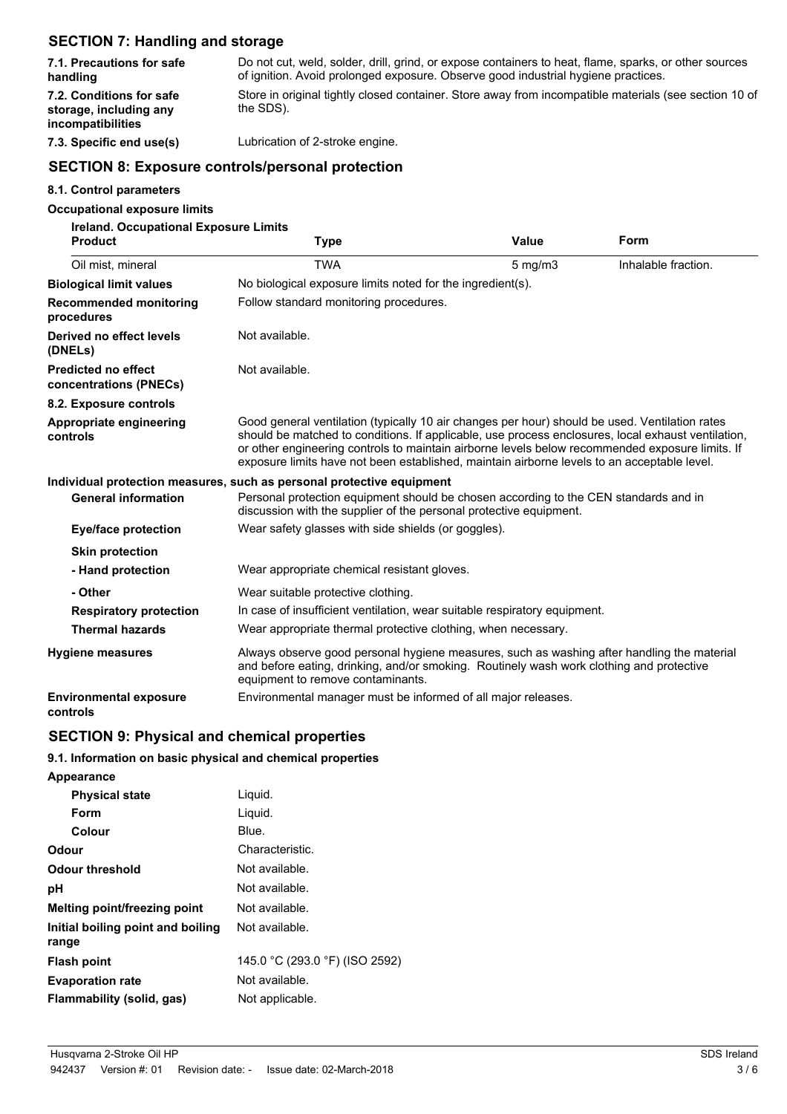# **SECTION 7: Handling and storage**

| 7.1. Precautions for safe                                                      | Do not cut, weld, solder, drill, grind, or expose containers to heat, flame, sparks, or other sources              |
|--------------------------------------------------------------------------------|--------------------------------------------------------------------------------------------------------------------|
| handling                                                                       | of ignition. Avoid prolonged exposure. Observe good industrial hygiene practices.                                  |
| 7.2. Conditions for safe<br>storage, including any<br><i>incompatibilities</i> | Store in original tightly closed container. Store away from incompatible materials (see section 10 of<br>the SDS). |

**7.3. Specific end use(s)** Lubrication of 2-stroke engine.

# **SECTION 8: Exposure controls/personal protection**

#### **8.1. Control parameters**

### **Occupational exposure limits**

| <b>Ireland. Occupational Exposure Limits</b>         |                                                                                                                                                                                                                                                                                                                                                                                                        |              |                     |  |
|------------------------------------------------------|--------------------------------------------------------------------------------------------------------------------------------------------------------------------------------------------------------------------------------------------------------------------------------------------------------------------------------------------------------------------------------------------------------|--------------|---------------------|--|
| <b>Product</b>                                       | <b>Type</b>                                                                                                                                                                                                                                                                                                                                                                                            | <b>Value</b> | Form                |  |
| Oil mist, mineral                                    | <b>TWA</b>                                                                                                                                                                                                                                                                                                                                                                                             | $5$ mg/m $3$ | Inhalable fraction. |  |
| <b>Biological limit values</b>                       | No biological exposure limits noted for the ingredient(s).                                                                                                                                                                                                                                                                                                                                             |              |                     |  |
| <b>Recommended monitoring</b><br>procedures          | Follow standard monitoring procedures.                                                                                                                                                                                                                                                                                                                                                                 |              |                     |  |
| Derived no effect levels<br>(DNELs)                  | Not available.                                                                                                                                                                                                                                                                                                                                                                                         |              |                     |  |
| <b>Predicted no effect</b><br>concentrations (PNECs) | Not available.                                                                                                                                                                                                                                                                                                                                                                                         |              |                     |  |
| 8.2. Exposure controls                               |                                                                                                                                                                                                                                                                                                                                                                                                        |              |                     |  |
| Appropriate engineering<br>controls                  | Good general ventilation (typically 10 air changes per hour) should be used. Ventilation rates<br>should be matched to conditions. If applicable, use process enclosures, local exhaust ventilation,<br>or other engineering controls to maintain airborne levels below recommended exposure limits. If<br>exposure limits have not been established, maintain airborne levels to an acceptable level. |              |                     |  |
|                                                      | Individual protection measures, such as personal protective equipment                                                                                                                                                                                                                                                                                                                                  |              |                     |  |
| <b>General information</b>                           | Personal protection equipment should be chosen according to the CEN standards and in<br>discussion with the supplier of the personal protective equipment.                                                                                                                                                                                                                                             |              |                     |  |
| <b>Eye/face protection</b>                           | Wear safety glasses with side shields (or goggles).                                                                                                                                                                                                                                                                                                                                                    |              |                     |  |
| <b>Skin protection</b>                               |                                                                                                                                                                                                                                                                                                                                                                                                        |              |                     |  |
| - Hand protection                                    | Wear appropriate chemical resistant gloves.                                                                                                                                                                                                                                                                                                                                                            |              |                     |  |
| - Other                                              | Wear suitable protective clothing.                                                                                                                                                                                                                                                                                                                                                                     |              |                     |  |
| <b>Respiratory protection</b>                        | In case of insufficient ventilation, wear suitable respiratory equipment.                                                                                                                                                                                                                                                                                                                              |              |                     |  |
| <b>Thermal hazards</b>                               | Wear appropriate thermal protective clothing, when necessary.                                                                                                                                                                                                                                                                                                                                          |              |                     |  |
| <b>Hygiene measures</b>                              | Always observe good personal hygiene measures, such as washing after handling the material<br>and before eating, drinking, and/or smoking. Routinely wash work clothing and protective<br>equipment to remove contaminants.                                                                                                                                                                            |              |                     |  |
| <b>Environmental exposure</b><br>controls            | Environmental manager must be informed of all major releases.                                                                                                                                                                                                                                                                                                                                          |              |                     |  |

# **SECTION 9: Physical and chemical properties**

### **9.1. Information on basic physical and chemical properties**

| Appearance                                 |                                |
|--------------------------------------------|--------------------------------|
| <b>Physical state</b>                      | Liguid.                        |
| Form                                       | Liquid.                        |
| Colour                                     | Blue.                          |
| Odour                                      | Characteristic.                |
| Odour threshold                            | Not available.                 |
| рH                                         | Not available.                 |
| <b>Melting point/freezing point</b>        | Not available.                 |
| Initial boiling point and boiling<br>range | Not available.                 |
| <b>Flash point</b>                         | 145.0 °C (293.0 °F) (ISO 2592) |
| <b>Evaporation rate</b>                    | Not available.                 |
| Flammability (solid, gas)                  | Not applicable.                |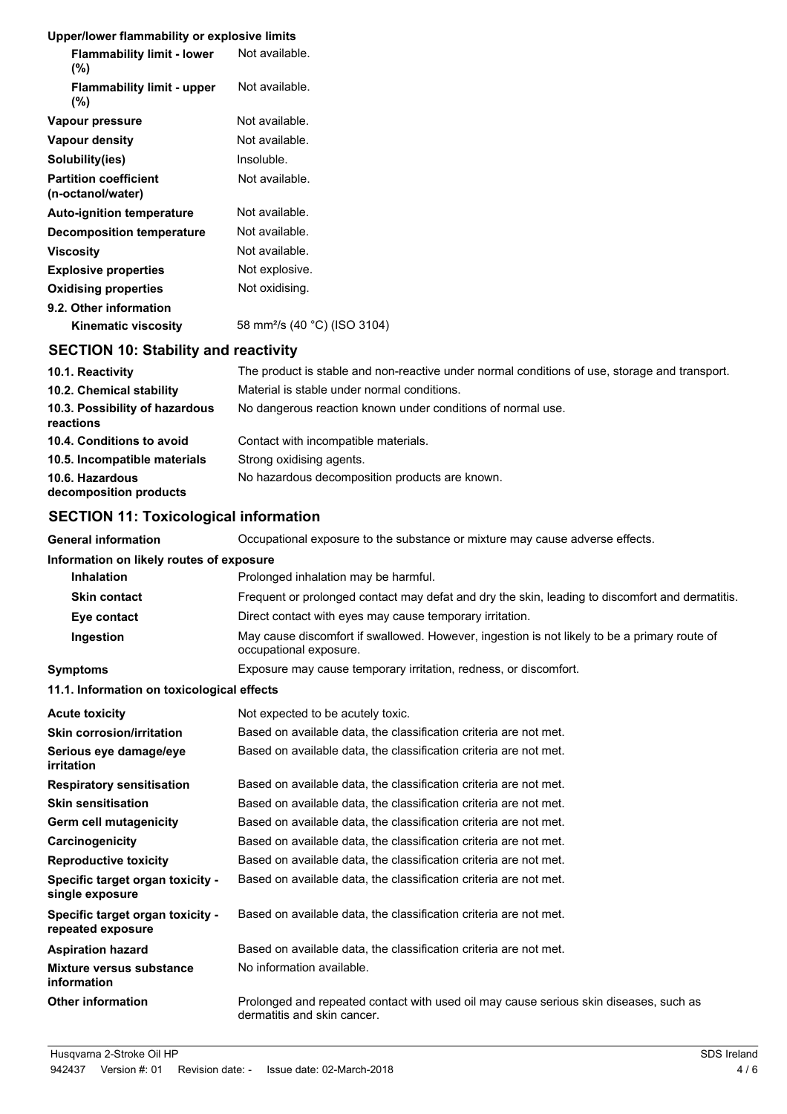### **Upper/lower flammability or explosive limits**

| Opper/lower Hammability or explosive illinits        |                                          |
|------------------------------------------------------|------------------------------------------|
| <b>Flammability limit - lower</b><br>$(\%)$          | Not available.                           |
| <b>Flammability limit - upper</b><br>(%)             | Not available.                           |
| Vapour pressure                                      | Not available.                           |
| Vapour density                                       | Not available.                           |
| Solubility(ies)                                      | Insoluble.                               |
| <b>Partition coefficient</b><br>(n-octanol/water)    | Not available.                           |
| <b>Auto-ignition temperature</b>                     | Not available.                           |
| <b>Decomposition temperature</b>                     | Not available.                           |
| <b>Viscosity</b>                                     | Not available.                           |
| <b>Explosive properties</b>                          | Not explosive.                           |
| <b>Oxidising properties</b>                          | Not oxidising.                           |
| 9.2. Other information<br><b>Kinematic viscosity</b> | 58 mm <sup>2</sup> /s (40 °C) (ISO 3104) |
|                                                      |                                          |

# **SECTION 10: Stability and reactivity**

| 10.1. Reactivity                            | The product is stable and non-reactive under normal conditions of use, storage and transport. |
|---------------------------------------------|-----------------------------------------------------------------------------------------------|
| 10.2. Chemical stability                    | Material is stable under normal conditions.                                                   |
| 10.3. Possibility of hazardous<br>reactions | No dangerous reaction known under conditions of normal use.                                   |
| 10.4. Conditions to avoid                   | Contact with incompatible materials.                                                          |
| 10.5. Incompatible materials                | Strong oxidising agents.                                                                      |
| 10.6. Hazardous<br>decomposition products   | No hazardous decomposition products are known.                                                |

# **SECTION 11: Toxicological information**

| <b>General information</b>                            | Occupational exposure to the substance or mixture may cause adverse effects.                                           |
|-------------------------------------------------------|------------------------------------------------------------------------------------------------------------------------|
| Information on likely routes of exposure              |                                                                                                                        |
| <b>Inhalation</b>                                     | Prolonged inhalation may be harmful.                                                                                   |
| <b>Skin contact</b>                                   | Frequent or prolonged contact may defat and dry the skin, leading to discomfort and dermatitis.                        |
| Eye contact                                           | Direct contact with eyes may cause temporary irritation.                                                               |
| Ingestion                                             | May cause discomfort if swallowed. However, ingestion is not likely to be a primary route of<br>occupational exposure. |
| <b>Symptoms</b>                                       | Exposure may cause temporary irritation, redness, or discomfort.                                                       |
| 11.1. Information on toxicological effects            |                                                                                                                        |
| <b>Acute toxicity</b>                                 | Not expected to be acutely toxic.                                                                                      |
| <b>Skin corrosion/irritation</b>                      | Based on available data, the classification criteria are not met.                                                      |
| Serious eye damage/eye<br>irritation                  | Based on available data, the classification criteria are not met.                                                      |
| <b>Respiratory sensitisation</b>                      | Based on available data, the classification criteria are not met.                                                      |
| <b>Skin sensitisation</b>                             | Based on available data, the classification criteria are not met.                                                      |
| <b>Germ cell mutagenicity</b>                         | Based on available data, the classification criteria are not met.                                                      |
| Carcinogenicity                                       | Based on available data, the classification criteria are not met.                                                      |
| <b>Reproductive toxicity</b>                          | Based on available data, the classification criteria are not met.                                                      |
| Specific target organ toxicity -<br>single exposure   | Based on available data, the classification criteria are not met.                                                      |
| Specific target organ toxicity -<br>repeated exposure | Based on available data, the classification criteria are not met.                                                      |
| <b>Aspiration hazard</b>                              | Based on available data, the classification criteria are not met.                                                      |
| <b>Mixture versus substance</b><br>information        | No information available.                                                                                              |
| <b>Other information</b>                              | Prolonged and repeated contact with used oil may cause serious skin diseases, such as<br>dermatitis and skin cancer.   |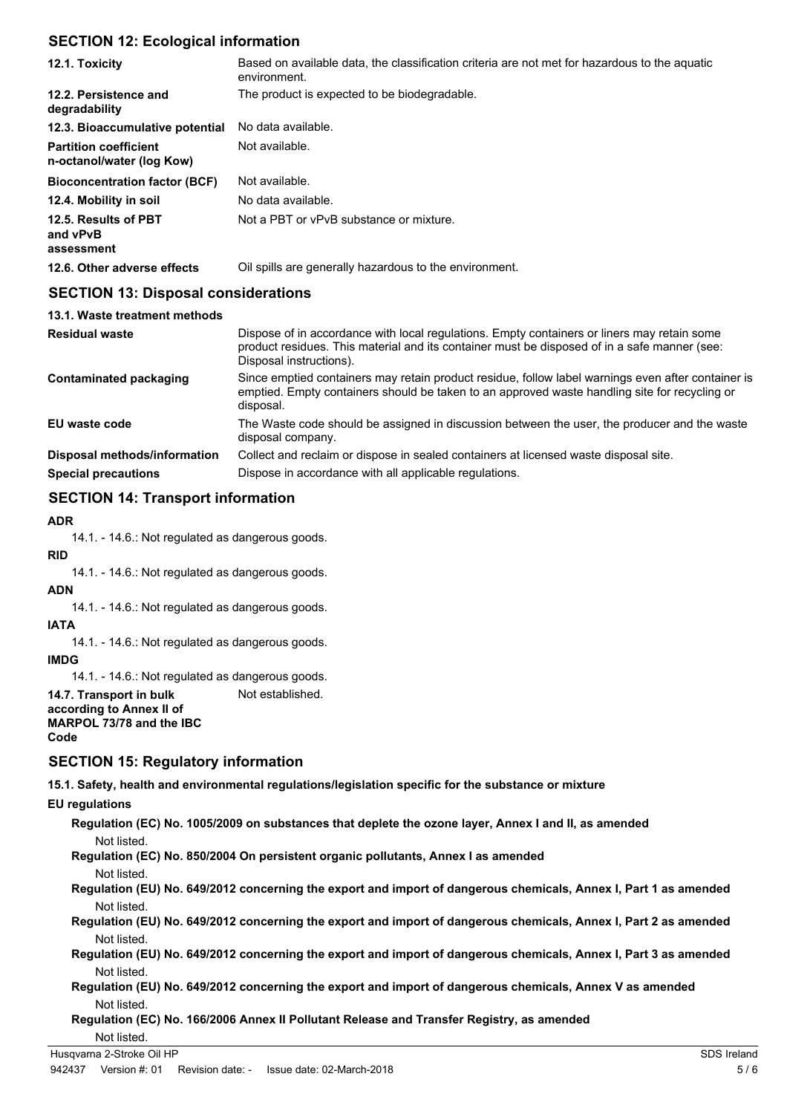# **SECTION 12: Ecological information**

| 12.1. Toxicity                                            | Based on available data, the classification criteria are not met for hazardous to the aquatic<br>environment.                                                                                                          |
|-----------------------------------------------------------|------------------------------------------------------------------------------------------------------------------------------------------------------------------------------------------------------------------------|
| 12.2. Persistence and<br>degradability                    | The product is expected to be biodegradable.                                                                                                                                                                           |
| 12.3. Bioaccumulative potential                           | No data available.                                                                                                                                                                                                     |
| <b>Partition coefficient</b><br>n-octanol/water (log Kow) | Not available.                                                                                                                                                                                                         |
| <b>Bioconcentration factor (BCF)</b>                      | Not available.                                                                                                                                                                                                         |
| 12.4. Mobility in soil                                    | No data available.                                                                                                                                                                                                     |
| 12.5. Results of PBT<br>and vPvB<br>assessment            | Not a PBT or vPvB substance or mixture.                                                                                                                                                                                |
| 12.6. Other adverse effects                               | Oil spills are generally hazardous to the environment.                                                                                                                                                                 |
| <b>SECTION 13: Disposal considerations</b>                |                                                                                                                                                                                                                        |
| 13.1. Waste treatment methods                             |                                                                                                                                                                                                                        |
| <b>Residual waste</b>                                     | Dispose of in accordance with local regulations. Empty containers or liners may retain some<br>product residues. This material and its container must be disposed of in a safe manner (see:<br>Disposal instructions). |
| <b>Contaminated packaging</b>                             | Since emptied containers may retain product residue, follow label warnings even after container is                                                                                                                     |

|                              | emptied. Empty containers should be taken to an approved waste handling site for recycling or<br>disposal.        |
|------------------------------|-------------------------------------------------------------------------------------------------------------------|
| EU waste code                | The Waste code should be assigned in discussion between the user, the producer and the waste<br>disposal company. |
| Disposal methods/information | Collect and reclaim or dispose in sealed containers at licensed waste disposal site.                              |
| <b>Special precautions</b>   | Dispose in accordance with all applicable regulations.                                                            |

# **SECTION 14: Transport information**

### **ADR**

14.1. - 14.6.: Not regulated as dangerous goods.

### **RID**

14.1. - 14.6.: Not regulated as dangerous goods.

### **ADN**

14.1. - 14.6.: Not regulated as dangerous goods.

#### **IATA**

14.1. - 14.6.: Not regulated as dangerous goods.

#### **IMDG**

14.1. - 14.6.: Not regulated as dangerous goods.

**14.7. Transport in bulk** Not established. **according to Annex II of MARPOL 73/78 and the IBC**

**Code**

### **SECTION 15: Regulatory information**

**15.1. Safety, health and environmental regulations/legislation specific for the substance or mixture**

**EU regulations**

**Regulation (EC) No. 1005/2009 on substances that deplete the ozone layer, Annex I and II, as amended** Not listed.

**Regulation (EC) No. 850/2004 On persistent organic pollutants, Annex I as amended** Not listed.

**Regulation (EU) No. 649/2012 concerning the export and import of dangerous chemicals, Annex I, Part 1 as amended** Not listed.

**Regulation (EU) No. 649/2012 concerning the export and import of dangerous chemicals, Annex I, Part 2 as amended** Not listed.

**Regulation (EU) No. 649/2012 concerning the export and import of dangerous chemicals, Annex I, Part 3 as amended** Not listed.

**Regulation (EU) No. 649/2012 concerning the export and import of dangerous chemicals, Annex V as amended** Not listed.

**Regulation (EC) No. 166/2006 Annex II Pollutant Release and Transfer Registry, as amended**

Not listed.

### Husqvarna 2-Stroke Oil HP SDS Ireland